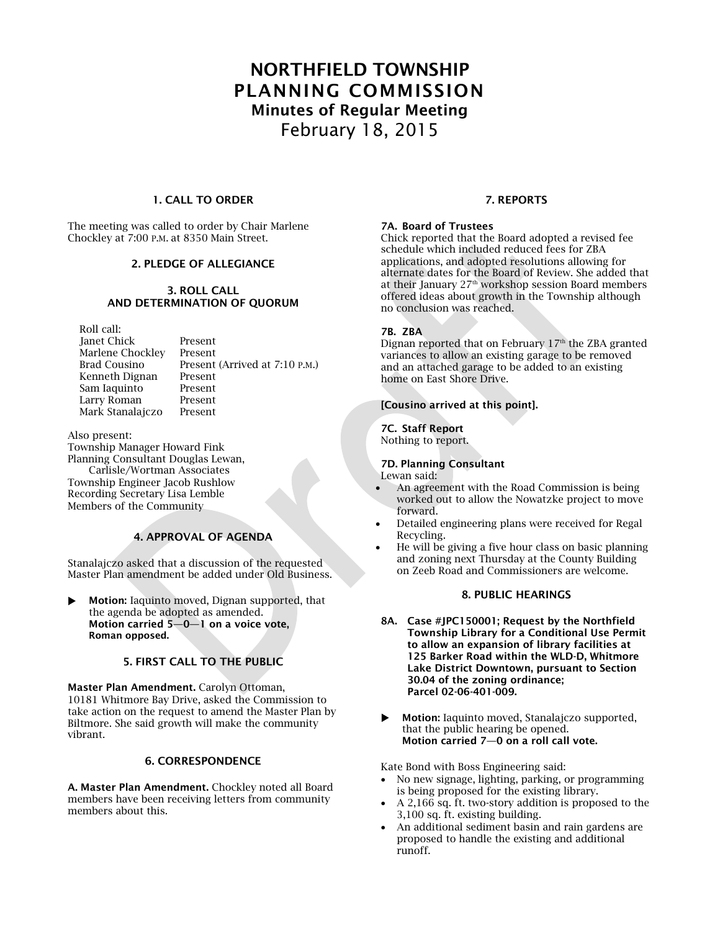# **NORTHFIELD TOWNSHIP PLANNING COMMISSION Minutes of Regular Meeting** February 18, 2015

# **1. CALL TO ORDER**

The meeting was called to order by Chair Marlene Chockley at 7:00 P.M. at 8350 Main Street.

# **2. PLEDGE OF ALLEGIANCE**

# **3. ROLL CALL AND DETERMINATION OF QUORUM**

Roll call: Janet Chick Present<br>Marlene Chocklev Present Marlene Chockley Kenneth Dignan Present<br>Sam Jaquinto Present Sam Iaquinto Larry Roman Present Mark Stanalajczo Present

Brad Cousino Present (Arrived at 7:10 P.M.)

#### Also present:

Township Manager Howard Fink Planning Consultant Douglas Lewan,

Carlisle/Wortman Associates Township Engineer Jacob Rushlow Recording Secretary Lisa Lemble Members of the Community

# **4. APPROVAL OF AGENDA**

Stanalajczo asked that a discussion of the requested Master Plan amendment be added under Old Business.

 **Motion:** Iaquinto moved, Dignan supported, that the agenda be adopted as amended. **Motion carried 5—0—1 on a voice vote, Roman opposed.**

# **5. FIRST CALL TO THE PUBLIC**

**Master Plan Amendment.** Carolyn Ottoman, 10181 Whitmore Bay Drive, asked the Commission to take action on the request to amend the Master Plan by Biltmore. She said growth will make the community vibrant.

#### **6. CORRESPONDENCE**

**A. Master Plan Amendment.** Chockley noted all Board members have been receiving letters from community members about this.

# **7. REPORTS**

# **7A. Board of Trustees**

Chick reported that the Board adopted a revised fee schedule which included reduced fees for ZBA applications, and adopted resolutions allowing for alternate dates for the Board of Review. She added that at their January 27th workshop session Board members offered ideas about growth in the Township although no conclusion was reached.

#### **7B. ZBA**

Dignan reported that on February 17<sup>th</sup> the ZBA granted variances to allow an existing garage to be removed and an attached garage to be added to an existing home on East Shore Drive.

#### **[Cousino arrived at this point].**

# **7C. Staff Report**

Nothing to report.

# **7D. Planning Consultant**

Lewan said:

- An agreement with the Road Commission is being worked out to allow the Nowatzke project to move forward.
- Detailed engineering plans were received for Regal Recycling.
- He will be giving a five hour class on basic planning and zoning next Thursday at the County Building on Zeeb Road and Commissioners are welcome.

# **8. PUBLIC HEARINGS**

- **8A. Case #JPC150001; Request by the Northfield Township Library for a Conditional Use Permit to allow an expansion of library facilities at 125 Barker Road within the WLD-D, Whitmore Lake District Downtown, pursuant to Section 30.04 of the zoning ordinance; Parcel 02-06-401-009.**
- **Motion:** Iaquinto moved, Stanalajczo supported, that the public hearing be opened. **Motion carried 7—0 on a roll call vote.**

Kate Bond with Boss Engineering said:

- No new signage, lighting, parking, or programming is being proposed for the existing library.
- A 2,166 sq. ft. two-story addition is proposed to the 3,100 sq. ft. existing building.
- An additional sediment basin and rain gardens are proposed to handle the existing and additional runoff.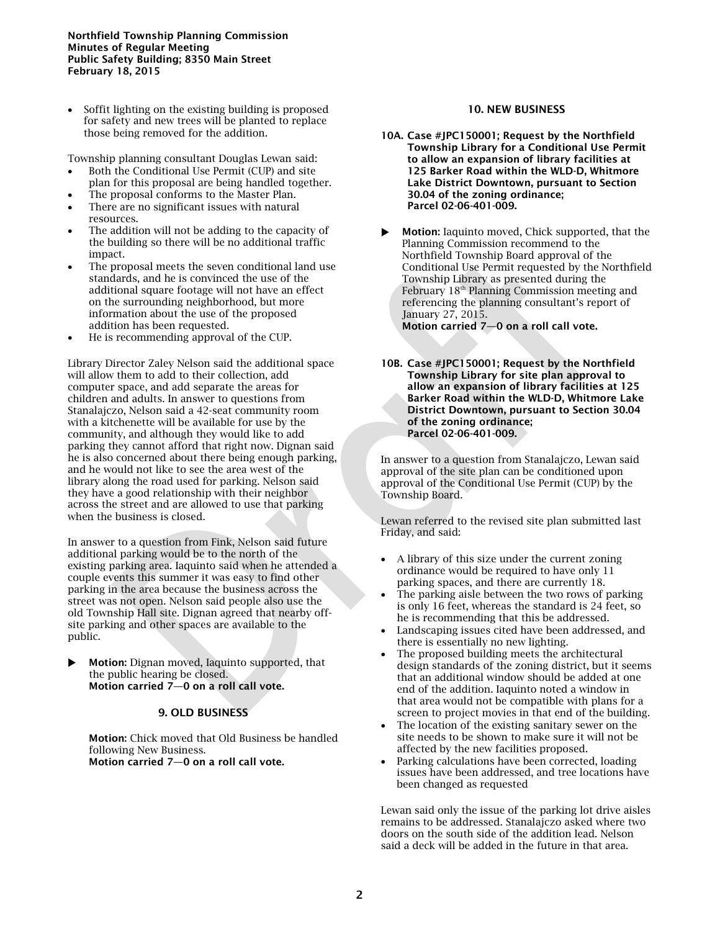#### **Northfield Township Planning Commission Minutes of Regular Meeting Public Safety Building; 8350 Main Street February 18, 2015**

 Soffit lighting on the existing building is proposed for safety and new trees will be planted to replace those being removed for the addition.

Township planning consultant Douglas Lewan said:

- Both the Conditional Use Permit (CUP) and site plan for this proposal are being handled together.
- The proposal conforms to the Master Plan.
- There are no significant issues with natural resources.
- The addition will not be adding to the capacity of the building so there will be no additional traffic impact.
- The proposal meets the seven conditional land use standards, and he is convinced the use of the additional square footage will not have an effect on the surrounding neighborhood, but more information about the use of the proposed addition has been requested.
- He is recommending approval of the CUP.

Library Director Zaley Nelson said the additional space will allow them to add to their collection, add computer space, and add separate the areas for children and adults. In answer to questions from Stanalajczo, Nelson said a 42-seat community room with a kitchenette will be available for use by the community, and although they would like to add parking they cannot afford that right now. Dignan said he is also concerned about there being enough parking, and he would not like to see the area west of the library along the road used for parking. Nelson said they have a good relationship with their neighbor across the street and are allowed to use that parking when the business is closed.

In answer to a question from Fink, Nelson said future additional parking would be to the north of the existing parking area. Iaquinto said when he attended a couple events this summer it was easy to find other parking in the area because the business across the street was not open. Nelson said people also use the old Township Hall site. Dignan agreed that nearby offsite parking and other spaces are available to the public.

 **Motion:** Dignan moved, Iaquinto supported, that the public hearing be closed. **Motion carried 7—0 on a roll call vote.**

# **9. OLD BUSINESS**

**Motion:** Chick moved that Old Business be handled following New Business. **Motion carried 7—0 on a roll call vote.**

# **10. NEW BUSINESS**

- **10A. Case #JPC150001; Request by the Northfield Township Library for a Conditional Use Permit to allow an expansion of library facilities at 125 Barker Road within the WLD-D, Whitmore Lake District Downtown, pursuant to Section 30.04 of the zoning ordinance; Parcel 02-06-401-009.**
- **Motion:** Iaquinto moved, Chick supported, that the Planning Commission recommend to the Northfield Township Board approval of the Conditional Use Permit requested by the Northfield Township Library as presented during the February 18<sup>th</sup> Planning Commission meeting and referencing the planning consultant's report of January 27, 2015.

**Motion carried 7—0 on a roll call vote.**

**10B. Case #JPC150001; Request by the Northfield Township Library for site plan approval to allow an expansion of library facilities at 125 Barker Road within the WLD-D, Whitmore Lake District Downtown, pursuant to Section 30.04 of the zoning ordinance; Parcel 02-06-401-009.**

In answer to a question from Stanalajczo, Lewan said approval of the site plan can be conditioned upon approval of the Conditional Use Permit (CUP) by the Township Board.

Lewan referred to the revised site plan submitted last Friday, and said:

- A library of this size under the current zoning ordinance would be required to have only 11 parking spaces, and there are currently 18.
- The parking aisle between the two rows of parking is only 16 feet, whereas the standard is 24 feet, so he is recommending that this be addressed.
- Landscaping issues cited have been addressed, and there is essentially no new lighting.
- The proposed building meets the architectural design standards of the zoning district, but it seems that an additional window should be added at one end of the addition. Iaquinto noted a window in that area would not be compatible with plans for a screen to project movies in that end of the building.
- The location of the existing sanitary sewer on the site needs to be shown to make sure it will not be affected by the new facilities proposed.
- Parking calculations have been corrected, loading issues have been addressed, and tree locations have been changed as requested

Lewan said only the issue of the parking lot drive aisles remains to be addressed. Stanalajczo asked where two doors on the south side of the addition lead. Nelson said a deck will be added in the future in that area.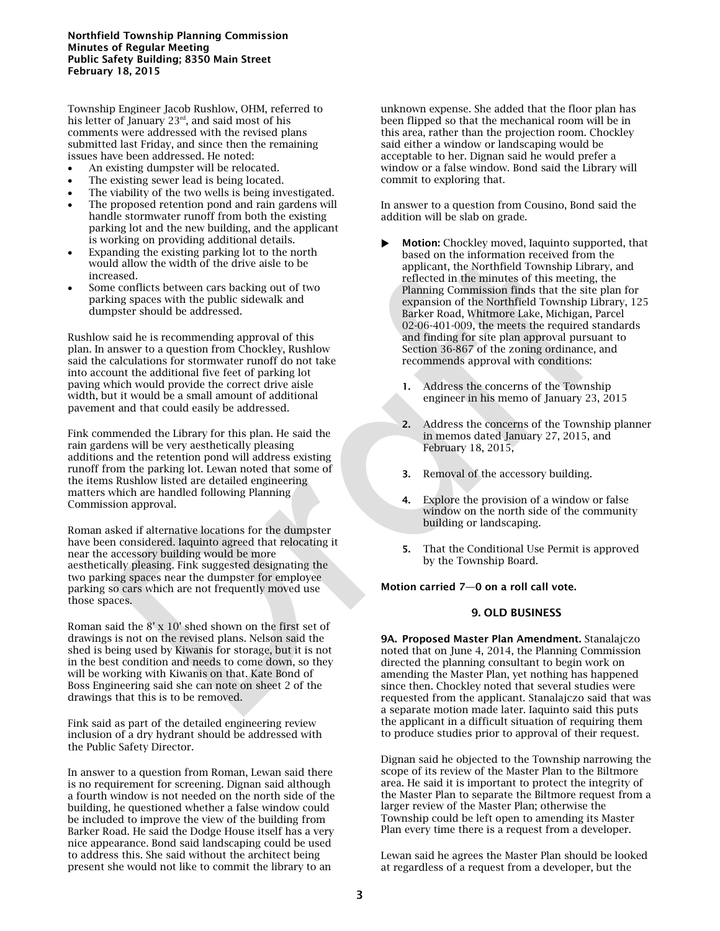Township Engineer Jacob Rushlow, OHM, referred to his letter of January  $23<sup>rd</sup>$ , and said most of his comments were addressed with the revised plans submitted last Friday, and since then the remaining issues have been addressed. He noted:

- An existing dumpster will be relocated.
- The existing sewer lead is being located.
- The viability of the two wells is being investigated.
- The proposed retention pond and rain gardens will handle stormwater runoff from both the existing parking lot and the new building, and the applicant is working on providing additional details.
- Expanding the existing parking lot to the north would allow the width of the drive aisle to be increased.
- Some conflicts between cars backing out of two parking spaces with the public sidewalk and dumpster should be addressed.

Rushlow said he is recommending approval of this plan. In answer to a question from Chockley, Rushlow said the calculations for stormwater runoff do not take into account the additional five feet of parking lot paving which would provide the correct drive aisle width, but it would be a small amount of additional pavement and that could easily be addressed.

Fink commended the Library for this plan. He said the rain gardens will be very aesthetically pleasing additions and the retention pond will address existing runoff from the parking lot. Lewan noted that some of the items Rushlow listed are detailed engineering matters which are handled following Planning Commission approval.

Roman asked if alternative locations for the dumpster have been considered. Iaquinto agreed that relocating it near the accessory building would be more aesthetically pleasing. Fink suggested designating the two parking spaces near the dumpster for employee parking so cars which are not frequently moved use those spaces.

Roman said the 8' x 10' shed shown on the first set of drawings is not on the revised plans. Nelson said the shed is being used by Kiwanis for storage, but it is not in the best condition and needs to come down, so they will be working with Kiwanis on that. Kate Bond of Boss Engineering said she can note on sheet 2 of the drawings that this is to be removed.

Fink said as part of the detailed engineering review inclusion of a dry hydrant should be addressed with the Public Safety Director.

In answer to a question from Roman, Lewan said there is no requirement for screening. Dignan said although a fourth window is not needed on the north side of the building, he questioned whether a false window could be included to improve the view of the building from Barker Road. He said the Dodge House itself has a very nice appearance. Bond said landscaping could be used to address this. She said without the architect being present she would not like to commit the library to an

unknown expense. She added that the floor plan has been flipped so that the mechanical room will be in this area, rather than the projection room. Chockley said either a window or landscaping would be acceptable to her. Dignan said he would prefer a window or a false window. Bond said the Library will commit to exploring that.

In answer to a question from Cousino, Bond said the addition will be slab on grade.

- **Motion:** Chockley moved, Iaquinto supported, that based on the information received from the applicant, the Northfield Township Library, and reflected in the minutes of this meeting, the Planning Commission finds that the site plan for expansion of the Northfield Township Library, 125 Barker Road, Whitmore Lake, Michigan, Parcel 02-06-401-009, the meets the required standards and finding for site plan approval pursuant to Section 36-867 of the zoning ordinance, and recommends approval with conditions:
	- **1.** Address the concerns of the Township engineer in his memo of January 23, 2015
	- **2.** Address the concerns of the Township planner in memos dated January 27, 2015, and February 18, 2015,
	- **3.** Removal of the accessory building.
	- **4.** Explore the provision of a window or false window on the north side of the community building or landscaping.
	- **5.** That the Conditional Use Permit is approved by the Township Board.

**Motion carried 7—0 on a roll call vote.**

## **9. OLD BUSINESS**

**9A. Proposed Master Plan Amendment.** Stanalajczo noted that on June 4, 2014, the Planning Commission directed the planning consultant to begin work on amending the Master Plan, yet nothing has happened since then. Chockley noted that several studies were requested from the applicant. Stanalajczo said that was a separate motion made later. Iaquinto said this puts the applicant in a difficult situation of requiring them to produce studies prior to approval of their request.

Dignan said he objected to the Township narrowing the scope of its review of the Master Plan to the Biltmore area. He said it is important to protect the integrity of the Master Plan to separate the Biltmore request from a larger review of the Master Plan; otherwise the Township could be left open to amending its Master Plan every time there is a request from a developer.

Lewan said he agrees the Master Plan should be looked at regardless of a request from a developer, but the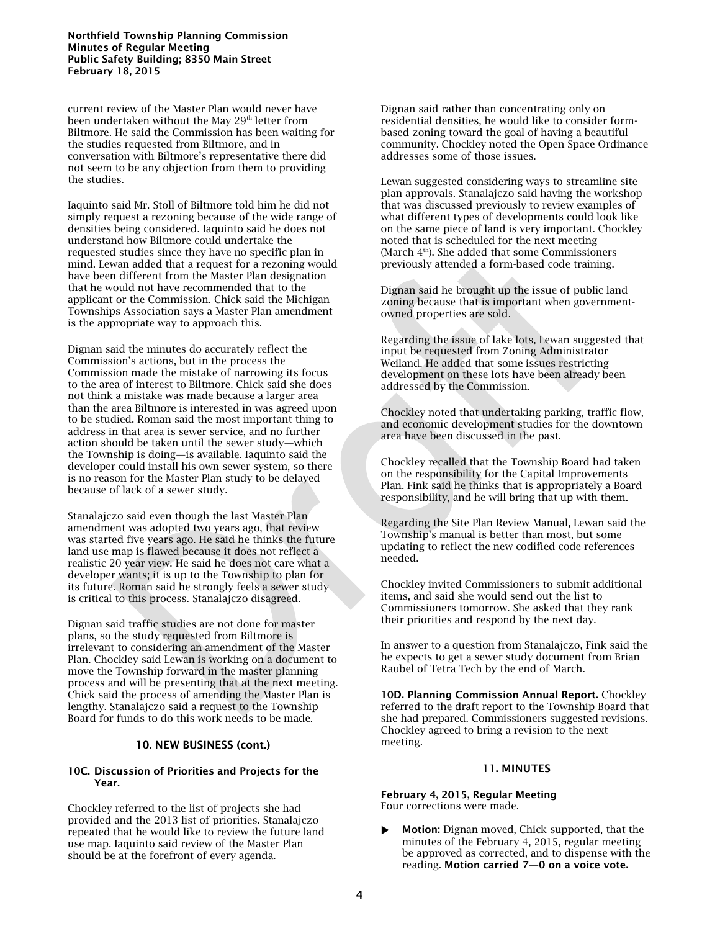#### **Northfield Township Planning Commission Minutes of Regular Meeting Public Safety Building; 8350 Main Street February 18, 2015**

current review of the Master Plan would never have been undertaken without the May 29<sup>th</sup> letter from Biltmore. He said the Commission has been waiting for the studies requested from Biltmore, and in conversation with Biltmore's representative there did not seem to be any objection from them to providing the studies.

Iaquinto said Mr. Stoll of Biltmore told him he did not simply request a rezoning because of the wide range of densities being considered. Iaquinto said he does not understand how Biltmore could undertake the requested studies since they have no specific plan in mind. Lewan added that a request for a rezoning would have been different from the Master Plan designation that he would not have recommended that to the applicant or the Commission. Chick said the Michigan Townships Association says a Master Plan amendment is the appropriate way to approach this.

Dignan said the minutes do accurately reflect the Commission's actions, but in the process the Commission made the mistake of narrowing its focus to the area of interest to Biltmore. Chick said she does not think a mistake was made because a larger area than the area Biltmore is interested in was agreed upon to be studied. Roman said the most important thing to address in that area is sewer service, and no further action should be taken until the sewer study—which the Township is doing—is available. Iaquinto said the developer could install his own sewer system, so there is no reason for the Master Plan study to be delayed because of lack of a sewer study.

Stanalajczo said even though the last Master Plan amendment was adopted two years ago, that review was started five years ago. He said he thinks the future land use map is flawed because it does not reflect a realistic 20 year view. He said he does not care what a developer wants; it is up to the Township to plan for its future. Roman said he strongly feels a sewer study is critical to this process. Stanalajczo disagreed.

Dignan said traffic studies are not done for master plans, so the study requested from Biltmore is irrelevant to considering an amendment of the Master Plan. Chockley said Lewan is working on a document to move the Township forward in the master planning process and will be presenting that at the next meeting. Chick said the process of amending the Master Plan is lengthy. Stanalajczo said a request to the Township Board for funds to do this work needs to be made.

#### **10. NEW BUSINESS (cont.)**

#### **10C. Discussion of Priorities and Projects for the Year.**

Chockley referred to the list of projects she had provided and the 2013 list of priorities. Stanalajczo repeated that he would like to review the future land use map. Iaquinto said review of the Master Plan should be at the forefront of every agenda.

Dignan said rather than concentrating only on residential densities, he would like to consider formbased zoning toward the goal of having a beautiful community. Chockley noted the Open Space Ordinance addresses some of those issues.

Lewan suggested considering ways to streamline site plan approvals. Stanalajczo said having the workshop that was discussed previously to review examples of what different types of developments could look like on the same piece of land is very important. Chockley noted that is scheduled for the next meeting (March 4<sup>th</sup>). She added that some Commissioners previously attended a form-based code training.

Dignan said he brought up the issue of public land zoning because that is important when governmentowned properties are sold.

Regarding the issue of lake lots, Lewan suggested that input be requested from Zoning Administrator Weiland. He added that some issues restricting development on these lots have been already been addressed by the Commission.

Chockley noted that undertaking parking, traffic flow, and economic development studies for the downtown area have been discussed in the past.

Chockley recalled that the Township Board had taken on the responsibility for the Capital Improvements Plan. Fink said he thinks that is appropriately a Board responsibility, and he will bring that up with them.

Regarding the Site Plan Review Manual, Lewan said the Township's manual is better than most, but some updating to reflect the new codified code references needed.

Chockley invited Commissioners to submit additional items, and said she would send out the list to Commissioners tomorrow. She asked that they rank their priorities and respond by the next day.

In answer to a question from Stanalajczo, Fink said the he expects to get a sewer study document from Brian Raubel of Tetra Tech by the end of March.

**10D. Planning Commission Annual Report.** Chockley referred to the draft report to the Township Board that she had prepared. Commissioners suggested revisions. Chockley agreed to bring a revision to the next meeting.

#### **11. MINUTES**

**February 4, 2015, Regular Meeting** Four corrections were made.

 **Motion:** Dignan moved, Chick supported, that the minutes of the February 4, 2015, regular meeting be approved as corrected, and to dispense with the reading. **Motion carried 7—0 on a voice vote.**